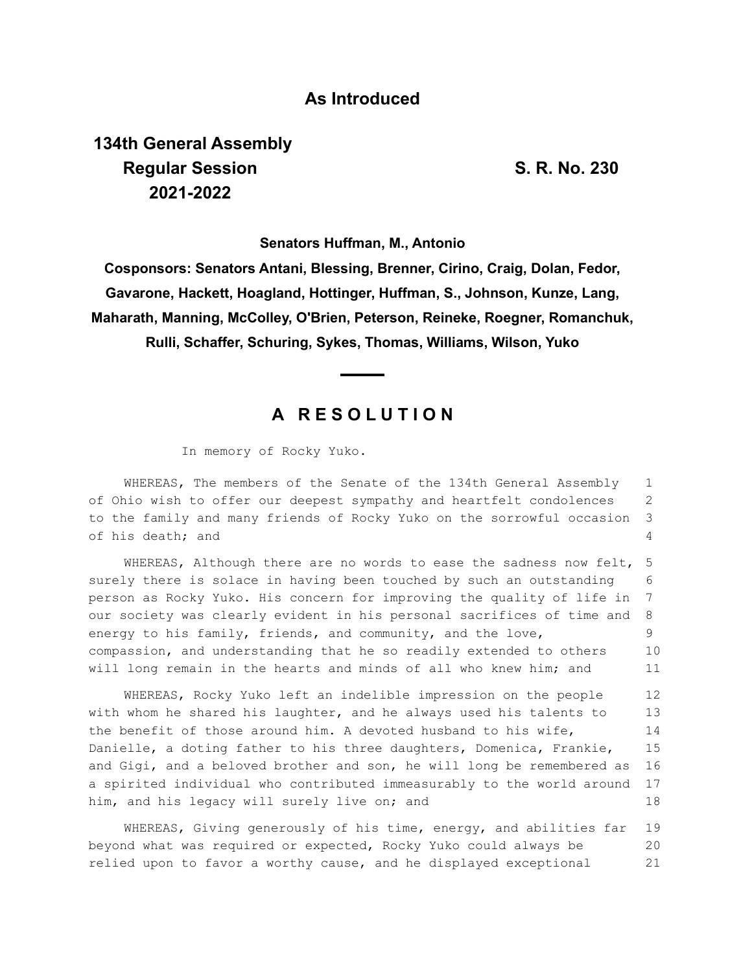### **As Introduced**

# **134th General Assembly Regular Session S. R. No. 230 2021-2022**

**Senators Huffman, M., Antonio**

**Cosponsors: Senators Antani, Blessing, Brenner, Cirino, Craig, Dolan, Fedor, Gavarone, Hackett, Hoagland, Hottinger, Huffman, S., Johnson, Kunze, Lang, Maharath, Manning, McColley, O'Brien, Peterson, Reineke, Roegner, Romanchuk, Rulli, Schaffer, Schuring, Sykes, Thomas, Williams, Wilson, Yuko**

## **A R E S O L U T I O N**

In memory of Rocky Yuko.

WHEREAS, The members of the Senate of the 134th General Assembly of Ohio wish to offer our deepest sympathy and heartfelt condolences to the family and many friends of Rocky Yuko on the sorrowful occasion of his death; and 1 2 3 4

WHEREAS, Although there are no words to ease the sadness now felt, surely there is solace in having been touched by such an outstanding person as Rocky Yuko. His concern for improving the quality of life in our society was clearly evident in his personal sacrifices of time and energy to his family, friends, and community, and the love, compassion, and understanding that he so readily extended to others will long remain in the hearts and minds of all who knew him; and 5 6 7 8 9 10 11

WHEREAS, Rocky Yuko left an indelible impression on the people with whom he shared his laughter, and he always used his talents to the benefit of those around him. A devoted husband to his wife, Danielle, a doting father to his three daughters, Domenica, Frankie, and Gigi, and a beloved brother and son, he will long be remembered as a spirited individual who contributed immeasurably to the world around him, and his legacy will surely live on; and 12 13 14 15 16 17 18

WHEREAS, Giving generously of his time, energy, and abilities far beyond what was required or expected, Rocky Yuko could always be relied upon to favor a worthy cause, and he displayed exceptional 19 20 21